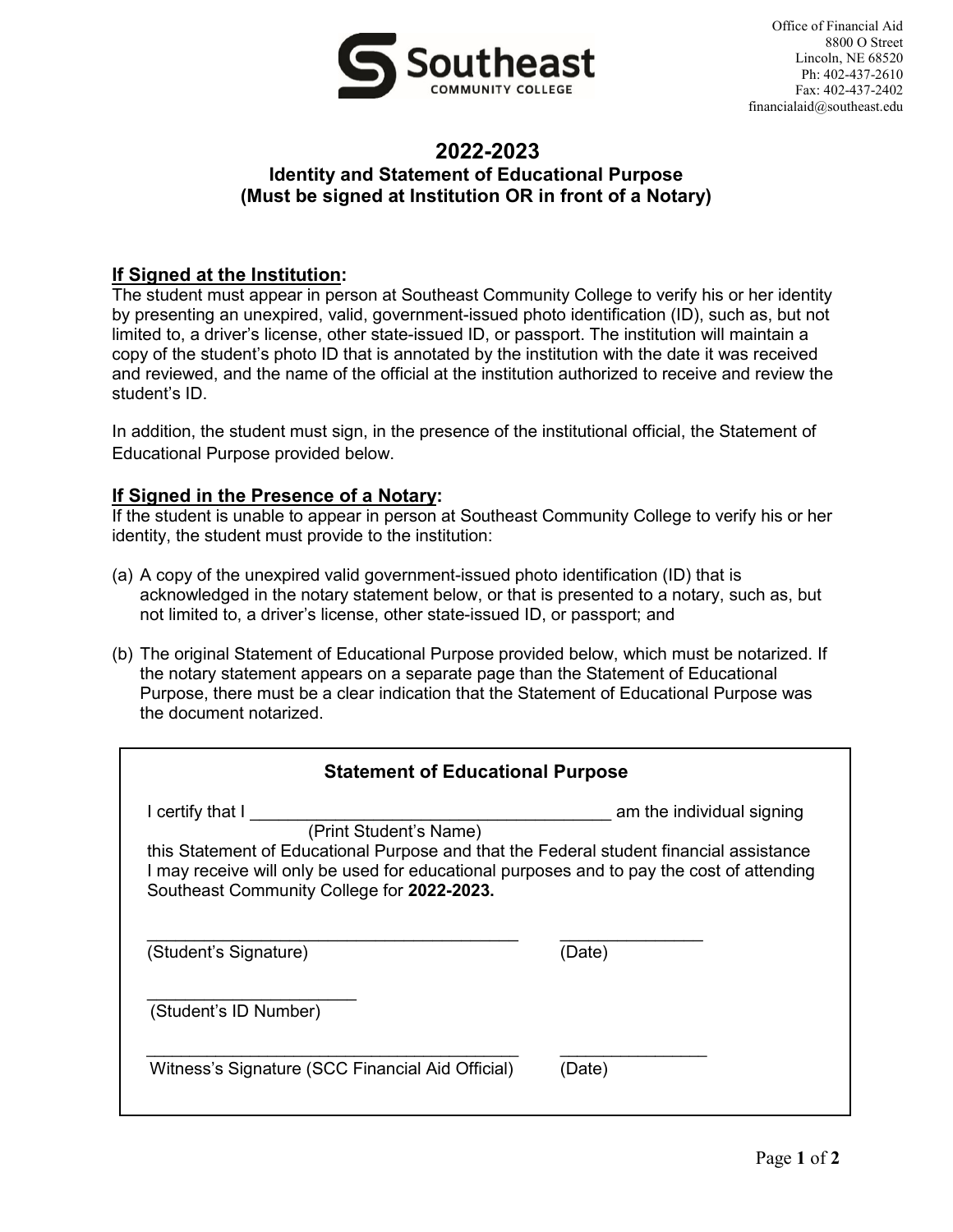

## **2022-2023 Identity and Statement of Educational Purpose (Must be signed at Institution OR in front of a Notary)**

## **If Signed at the Institution:**

The student must appear in person at Southeast Community College to verify his or her identity by presenting an unexpired, valid, government-issued photo identification (ID), such as, but not limited to, a driver's license, other state-issued ID, or passport. The institution will maintain a copy of the student's photo ID that is annotated by the institution with the date it was received and reviewed, and the name of the official at the institution authorized to receive and review the student's ID.

In addition, the student must sign, in the presence of the institutional official, the Statement of Educational Purpose provided below.

## **If Signed in the Presence of a Notary:**

If the student is unable to appear in person at Southeast Community College to verify his or her identity, the student must provide to the institution:

- (a) A copy of the unexpired valid government-issued photo identification (ID) that is acknowledged in the notary statement below, or that is presented to a notary, such as, but not limited to, a driver's license, other state-issued ID, or passport; and
- (b) The original Statement of Educational Purpose provided below, which must be notarized. If the notary statement appears on a separate page than the Statement of Educational Purpose, there must be a clear indication that the Statement of Educational Purpose was the document notarized.

| <b>Statement of Educational Purpose</b>                                                                                                                                                                                                                                                                       |        |  |  |
|---------------------------------------------------------------------------------------------------------------------------------------------------------------------------------------------------------------------------------------------------------------------------------------------------------------|--------|--|--|
| I certify that I<br>am the individual signing<br>(Print Student's Name)<br>this Statement of Educational Purpose and that the Federal student financial assistance<br>I may receive will only be used for educational purposes and to pay the cost of attending<br>Southeast Community College for 2022-2023. |        |  |  |
| (Student's Signature)                                                                                                                                                                                                                                                                                         | (Date) |  |  |
| (Student's ID Number)                                                                                                                                                                                                                                                                                         |        |  |  |
| Witness's Signature (SCC Financial Aid Official)                                                                                                                                                                                                                                                              | (Date) |  |  |